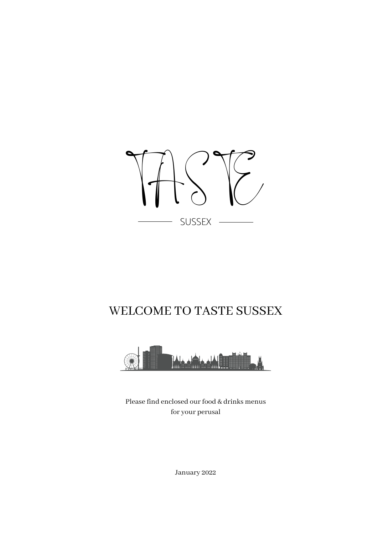

# WELCOME TO TASTE SUSSEX



Please find enclosed our food & drinks menus for your perusal

January 2022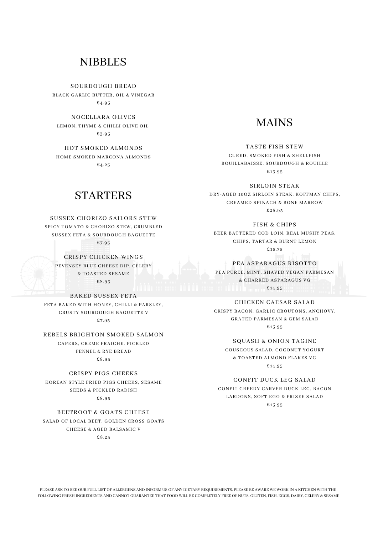# **NIBBLES**

SOURDOUGH BREAD BLACK GARLIC BUTTER, OIL & VINEGAR £4.95

NOCELLARA OLIVES LEMON, THYME & CHILLI OLIVE OIL £3.95

HOT SMOKED ALMONDS HOME SMOKED MARCONA ALMONDS £4.25

# **STARTERS**

### SUSSEX CHORIZO SAILORS STEW

SPICY TOMATO & CHORIZO STEW, CRUMBLED SUSSEX FETA & SOURDOUGH BAGUETTE £7.95

CRISPY CHICKEN WINGS PEVENSEY BLUE CHEESE DIP, CELERY

& TOASTED SESAME £8.95

#### BAKED SUSSEX FETA

FETA BAKED WITH HONEY, CHILLI & PARSLEY, CRUSTY SOURDOUGH BAGUETTE V £7.95

# REBELS BRIGHTON SMOKED SALMON

CAPERS, CREME FRAICHE, PICKLED FENNEL & RYE BREAD £8.95

#### CRISPY PIGS CHEEKS

KOREAN STYLE FRIED PIGS CHEEKS, SESAME SEEDS & PICKLED RADISH £8.95

### BEETROOT & GOATS CHEESE

SALAD OF LOCAL BEET, GOLDEN CROSS GOATS CHEESE & AGED BALSAMIC V £8.25

# MAINS

#### TASTE FISH STEW

CURED, SMOKED FISH & SHELLFISH BOUILLABAISSE, SOURDOUGH & ROUILLE £15.95

# SIRLOIN STEAK

DRY-AGED 10OZ SIRLOIN STEAK, KOFFMAN CHIPS, CREAMED SPINACH & BONE MARROW £28.95

#### FISH & CHIPS

BEER BATTERED COD LOIN, REAL MUSHY PEAS, CHIPS, TARTAR & BURNT LEMON £15.75

#### PEA ASPARAGUS RISOTTO

PEA PUREE, MINT, SHAVED VEGAN PARMESAN & CHARRED ASPARAGUS VG £14.95

# CHICKEN CAESAR SALAD

CRISPY BACON, GARLIC CROUTONS, ANCHOVY, GRATED PARMESAN & GEM SALAD £15.95

#### SQUASH & ONION TAGINE

COUSCOUS SALAD, COCONUT YOGURT & TOASTED ALMOND FLAKES VG £14.95

### CONFIT DUCK LEG SALAD

CONFIT CREEDY CARVER DUCK LEG, BACON LARDONS, SOFT EGG & FRISEE SALAD £15.95

PLEASE ASK TO SEE OUR FULL LIST OF ALLERGENS AND INFORM US OF ANY DIETARY REQUIREMENTS. PLEASE BE AWARE WE WORK IN A KITCHEN WITH THE FOLLOWING FRESH INGREDIENTS AND CANNOT GUARANTEE THAT FOOD WILL BE COMPLETELY FREE OF NUTS, GLUTEN, FISH, EGGS, DAIRY, CELERY & SESAME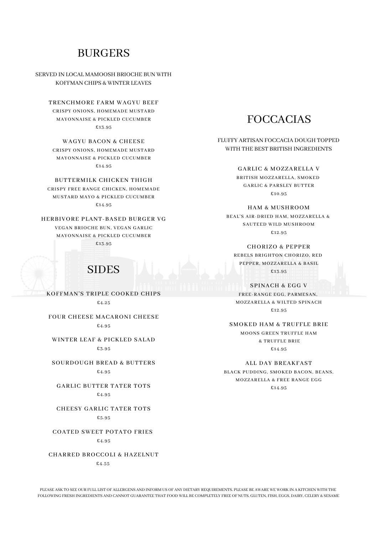# **BURGERS**

SERVED IN LOCAL MAMOOSH BRIOCHE BUN WITH KOFFMAN CHIPS & WINTER LEAVES

TRENCHMORE FARM WAGYU BEEF CRISPY ONIONS, HOMEMADE MUSTARD MAYONNAISE & PICKLED CUCUMBER £13.95

WAGYU BACON & CHEESE CRISPY ONIONS, HOMEMADE MUSTARD MAYONNAISE & PICKLED CUCUMBER £14.95

BUTTERMILK CHICKEN THIGH CRISPY FREE RANGE CHICKEN, HOMEMADE MUSTARD MAYO & PICKLED CUCUMBER £14.95

HERBIVORE PLANT-BASED BURGER VG VEGAN BRIOCHE BUN, VEGAN GARLIC MAYONNAISE & PICKLED CUCUMBER £13.95

SIDES

KOFFMAN'S TRIPLE COOKED CHIPS £4.25

FOUR CHEESE MACARONI CHEESE £4.95

WINTER LEAF & PICKLED SALAD £3.95

SOURDOUGH BREAD & BUTTERS £4.95

GARLIC BUTTER TATER TOTS £4.95

CHEESY GARLIC TATER TOTS £5.95

COATED SWEET POTATO FRIES £4.95

CHARRED BROCCOLI & HAZELNUT £4.55

# FOCCACIAS

FLUFFY ARTISAN FOCCACIA DOUGH TOPPED WITH THE BEST BRITISH INGREDIENTS

GARLIC & MOZZARELLA V

BRITISH MOZZARELLA, SMOKED GARLIC & PARSLEY BUTTER £10.95

HAM & MUSHROOM

BEAL'S AIR-DRIED HAM, MOZZARELLA & SAUTEED WILD MUSHROOM £12.95

CHORIZO & PEPPER REBELS BRIGHTON CHORIZO, RED PEPPER, MOZZARELLA & BASIL £13.95

SPINACH & EGG V FREE-RANGE EGG, PARMESAN, MOZZARELLA & WILTED SPINACH £12.95

SMOKED HAM & TRUFFLE BRIE

MOONS GREEN TRUFFLE HAM & TRUFFLE BRIE £14.95

ALL DAY BREAKFAST

BLACK PUDDING, SMOKED BACON, BEANS, MOZZARELLA & FREE RANGE EGG £14.95

PLEASE ASK TO SEE OUR FULL LIST OF ALLERGENS AND INFORM US OF ANY DIETARY REQUIREMENTS. PLEASE BE AWARE WE WORK IN A KITCHEN WITH THE FOLLOWING FRESH INGREDIENTS AND CANNOT GUARANTEE THAT FOOD WILL BE COMPLETELY FREE OF NUTS, GLUTEN, FISH, EGGS, DAIRY, CELERY & SESAME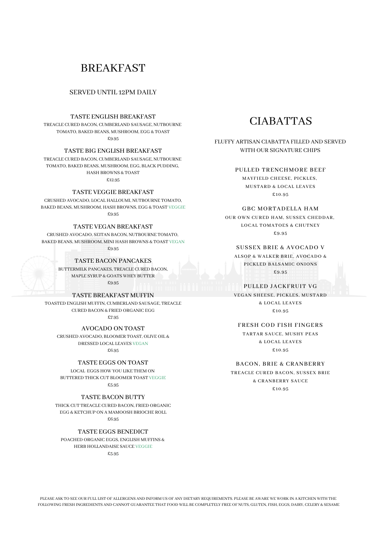# BREAKFAST

#### SERVED UNTIL 12PM DAILY

### TASTE ENGLISH BREAKFAST

TREACLE CURED BACON, CUMBERLAND SAUSAGE, NUTBOURNE TOMATO, BAKED BEANS, MUSHROOM, EGG & TOAST  $6.95$ 

#### TASTE BIG ENGLISH BREAKFAST

TREACLE CURED BACON, CUMBERLAND SAUSAGE, NUTBOURNE TOMATO, BAKED BEANS, MUSHROOM, EGG, BLACK PUDDING, HASH BROWNS & TOAST

£12.95

# TASTE VEGGIE BREAKFAST

CRUSHED AVOCADO, LOCAL HALLOUMI, NUTBOURNE TOMATO, BAKED BEANS, MUSHROOM, HASH BROWNS, EGG & TOAST VEGGIE £9.95

#### TASTE VEGAN BREAKFAST

CRUSHED AVOCADO, SEITAN BACON, NUTBOURNE TOMATO, BAKED BEANS, MUSHROOM, MINI HASH BROWNS & TOAST VEGAN

£9.95

# TASTE BACON PANCAKES

BUTTERMILK PANCAKES, TREACLE CURED BACON, MAPLE SYRUP & GOATS WHEY BUTTER £9.95

TASTE BREAKFAST MUFFIN

TOASTED ENGLISH MUFFIN, CUMBERLAND SAUSAGE, TREACLE CURED BACON & FRIED ORGANIC EGG £7.95

AVOCADO ON TOAST

CRUSHED AVOCADO, BLOOMER TOAST, OLIVE OIL & DRESSED LOCAL LEAVES VEGAN £6.95

TASTE EGGS ON TOAST

LOCAL EGGS HOW YOU LIKE THEM ON BUTTERED THICK CUT BLOOMER TOAST VEGGIE £5.95

TASTE BACON BUTTY

THICK CUT TREACLE CURED BACON, FRIED ORGANIC EGG & KETCHUP ON A MAMOOSH BRIOCHE ROLL £6.95

TASTE EGGS BENEDICT

POACHED ORGANIC EGGS, ENGLISH MUFFINS & HERB HOLLANDAISE SAUCE VEGGIE £5.95

# CIABATTAS

FLUFFY ARTISAN CIABATTA FILLED AND SERVED WITH OUR SIGNATURE CHIPS

### PULLED TRENCHMORE BEEF

MAYFIELD CHEESE, PICKLES, MUSTARD & LOCAL LEAVES £10.95

#### GBC MORTADELLA HAM

OUR OWN CURED HAM, SUSSEX CHEDDAR, LOCAL TOMATOES & CHUTNEY £9.95

### SUSSEX BRIE & AVOCADO V

ALSOP & WALKER BRIE, AVOCADO & PICKLED BALSAMIC ONIONS £9.95

#### PULLED JACKFRUIT VG

VEGAN SHEESE, PICKLES, MUSTARD & LOCAL LEAVES £10.95

#### FRESH COD FISH FINGERS

TARTAR SAUCE, MUSHY PEAS & LOCAL LEAVES £10.95

### BACON, BRIE & CRANBERRY

TREACLE CURED BACON, SUSSEX BRIE & CRANBERRY SAUCE £10.95